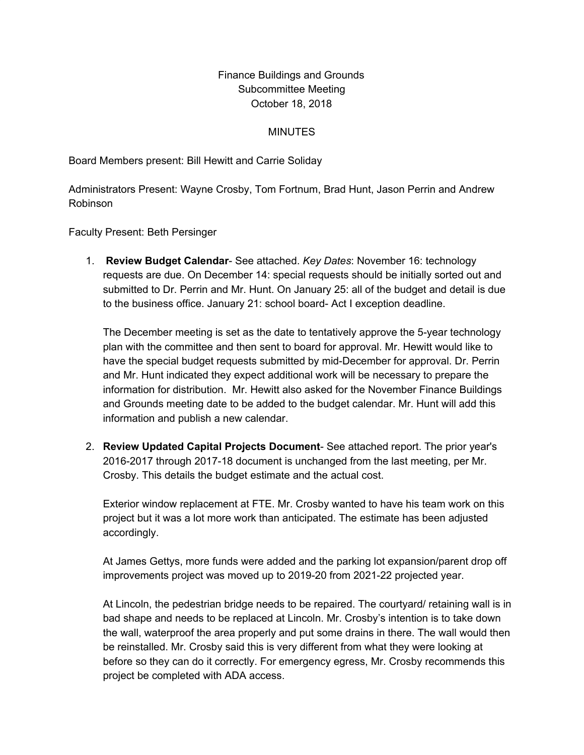## Finance Buildings and Grounds Subcommittee Meeting October 18, 2018

## **MINUTES**

Board Members present: Bill Hewitt and Carrie Soliday

Administrators Present: Wayne Crosby, Tom Fortnum, Brad Hunt, Jason Perrin and Andrew Robinson

Faculty Present: Beth Persinger

1. **Review Budget Calendar**- See attached. *Key Dates*: November 16: technology requests are due. On December 14: special requests should be initially sorted out and submitted to Dr. Perrin and Mr. Hunt. On January 25: all of the budget and detail is due to the business office. January 21: school board- Act I exception deadline.

The December meeting is set as the date to tentatively approve the 5-year technology plan with the committee and then sent to board for approval. Mr. Hewitt would like to have the special budget requests submitted by mid-December for approval. Dr. Perrin and Mr. Hunt indicated they expect additional work will be necessary to prepare the information for distribution. Mr. Hewitt also asked for the November Finance Buildings and Grounds meeting date to be added to the budget calendar. Mr. Hunt will add this information and publish a new calendar.

2. **Review Updated Capital Projects Document**- See attached report. The prior year's 2016-2017 through 2017-18 document is unchanged from the last meeting, per Mr. Crosby. This details the budget estimate and the actual cost.

Exterior window replacement at FTE. Mr. Crosby wanted to have his team work on this project but it was a lot more work than anticipated. The estimate has been adjusted accordingly.

At James Gettys, more funds were added and the parking lot expansion/parent drop off improvements project was moved up to 2019-20 from 2021-22 projected year.

At Lincoln, the pedestrian bridge needs to be repaired. The courtyard/ retaining wall is in bad shape and needs to be replaced at Lincoln. Mr. Crosby's intention is to take down the wall, waterproof the area properly and put some drains in there. The wall would then be reinstalled. Mr. Crosby said this is very different from what they were looking at before so they can do it correctly. For emergency egress, Mr. Crosby recommends this project be completed with ADA access.